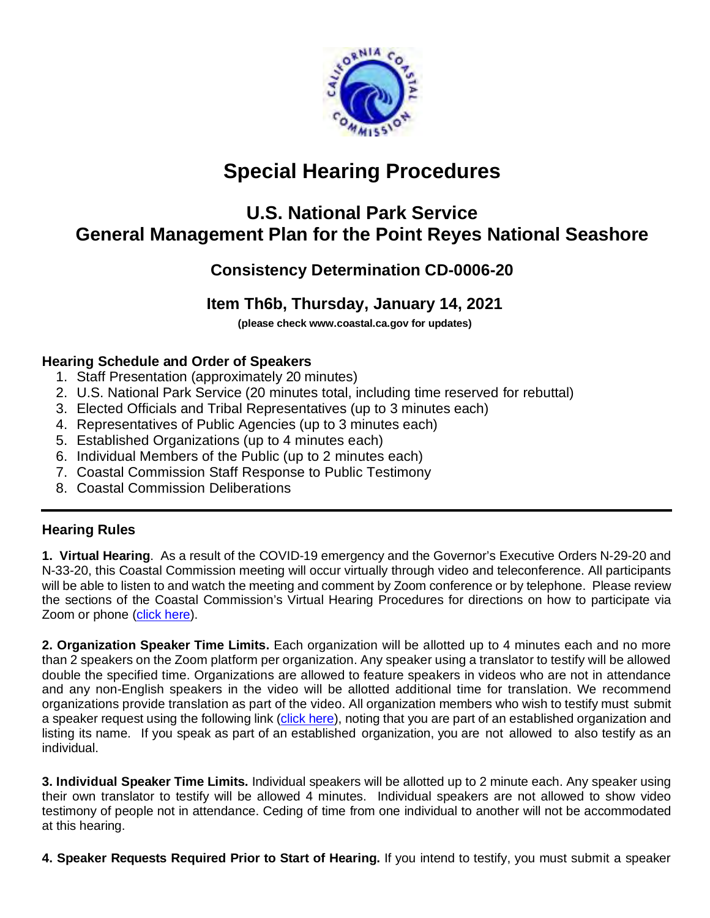

# **Special Hearing Procedures**

## **U.S. National Park Service General Management Plan for the Point Reyes National Seashore**

## **Consistency Determination CD-0006-20**

## **Item Th6b, Thursday, January 14, 2021**

**[\(please check www.coasta](http://www.coastal.ca.gov/)l.ca.gov for updates)**

#### **Hearing Schedule and Order of Speakers**

- 1. Staff Presentation (approximately 20 minutes)
- 2. U.S. National Park Service (20 minutes total, including time reserved for rebuttal)
- 3. Elected Officials and Tribal Representatives (up to 3 minutes each)
- 4. Representatives of Public Agencies (up to 3 minutes each)
- 5. Established Organizations (up to 4 minutes each)
- 6. Individual Members of the Public (up to 2 minutes each)
- 7. Coastal Commission Staff Response to Public Testimony
- 8. Coastal Commission Deliberations

#### **Hearing Rules**

**1. Virtual Hearing**. As a result of the COVID-19 emergency and the Governor's Executive Orders N-29-20 and N-33-20, this Coastal Commission meeting will occur virtually through video and teleconference. All participants will be able to listen to and watch the meeting and comment by Zoom conference or by telephone. Please review the sections of the Coastal Commission's Virtual Hearing Procedures for directions on how to participate via Zoom or phone [\(click here\)](https://documents.coastal.ca.gov/assets/virtual-hearing/VIRTUAL-HEARING-PROCEDURES.pdf).

**2. Organization Speaker Time Limits.** Each organization will be allotted up to 4 minutes each and no more than 2 speakers on the Zoom platform per organization. Any speaker using a translator to testify will be allowed double the specified time. Organizations are allowed to feature speakers in videos who are not in attendance and any non-English speakers in the video will be allotted additional time for translation. We recommend organizations provide translation as part of the video. All organization members who wish to testify must submit a speaker request using the following link [\(click here\)](https://www.coastal.ca.gov/meetings/request-testimony/special-hearing/), noting that you are part of an established organization and listing its name. If you speak as part of an established organization, you are not allowed to also testify as an individual.

**3. Individual Speaker Time Limits.** Individual speakers will be allotted up to 2 minute each. Any speaker using their own translator to testify will be allowed 4 minutes. Individual speakers are not allowed to show video testimony of people not in attendance. Ceding of time from one individual to another will not be accommodated at this hearing.

**4. Speaker Requests Required Prior to Start of Hearing.** If you intend to testify, you must submit a speaker